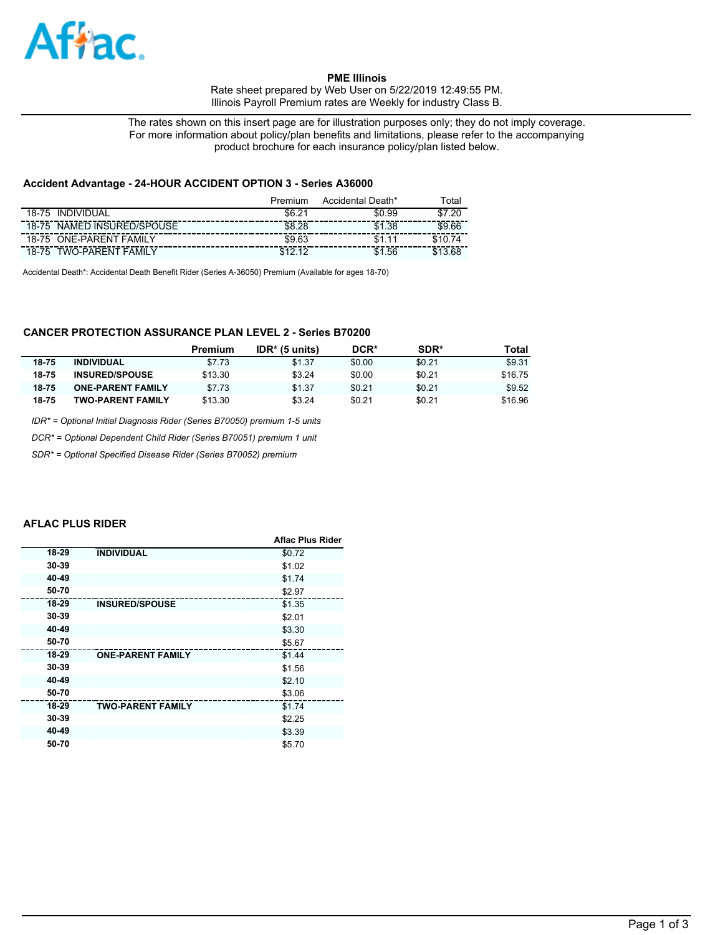

**PME Illinois**  Rate sheet prepared by Web User on 5/22/2019 12:49:55 PM. Illinois Payroll Premium rates are Weekly for industry Class B.

The rates shown on this insert page are for illustration purposes only; they do not imply coverage. For more information about policy/plan benefits and limitations, please refer to the accompanying product brochure for each insurance policy/plan listed below.

### **Accident Advantage - 24-HOUR ACCIDENT OPTION 3 - Series A36000**

|                                   | Premium        | Accidental Death* | ⊺otal   |
|-----------------------------------|----------------|-------------------|---------|
| <b>INDIVIDUAL</b><br>$18 - 75$    | $\sim$         | \$0.99            | റ<br>47 |
| NAMED INSURED/SPOUSE<br>18-75     | \$8.28         | 1.38              | \$9.66  |
| <b>ONE-PARENT FAMILY</b><br>18-75 | \$9.63         |                   |         |
| TWO-PARENT<br>FAMIL<br>18-75      | $\overline{a}$ | .56<br>\$1        |         |

Accidental Death\*: Accidental Death Benefit Rider (Series A-36050) Premium (Available for ages 18-70)

# **CANCER PROTECTION ASSURANCE PLAN LEVEL 2 - Series B70200**

|       |                          | Premium | $IDR*$ (5 units) | DCR*   | SDR*   | Total   |
|-------|--------------------------|---------|------------------|--------|--------|---------|
| 18-75 | <b>INDIVIDUAL</b>        | \$7.73  | \$1.37           | \$0.00 | \$0.21 | \$9.31  |
| 18-75 | <b>INSURED/SPOUSE</b>    | \$13.30 | \$3.24           | \$0.00 | \$0.21 | \$16.75 |
| 18-75 | <b>ONE-PARENT FAMILY</b> | \$7.73  | \$1.37           | \$0.21 | \$0.21 | \$9.52  |
| 18-75 | <b>TWO-PARENT FAMILY</b> | \$13.30 | \$3.24           | \$0.21 | \$0.21 | \$16.96 |

*IDR\* = Optional Initial Diagnosis Rider (Series B70050) premium 1-5 units*

*DCR\* = Optional Dependent Child Rider (Series B70051) premium 1 unit*

*SDR\* = Optional Specified Disease Rider (Series B70052) premium*

#### **AFLAC PLUS RIDER**

|       |                          | <b>Aflac Plus Rider</b> |
|-------|--------------------------|-------------------------|
| 18-29 | <b>INDIVIDUAL</b>        | \$0.72                  |
| 30-39 |                          | \$1.02                  |
| 40-49 |                          | \$1.74                  |
| 50-70 |                          | \$2.97                  |
| 18-29 | <b>INSURED/SPOUSE</b>    | \$1.35                  |
| 30-39 |                          | \$2.01                  |
| 40-49 |                          | \$3.30                  |
| 50-70 |                          | \$5.67                  |
| 18-29 | <b>ONE-PARENT FAMILY</b> | \$1.44                  |
| 30-39 |                          | \$1.56                  |
| 40-49 |                          | \$2.10                  |
| 50-70 |                          | \$3.06                  |
| 18-29 | <b>TWO-PARENT FAMILY</b> | \$1.74                  |
| 30-39 |                          | \$2.25                  |
| 40-49 |                          | \$3.39                  |
| 50-70 |                          | \$5.70                  |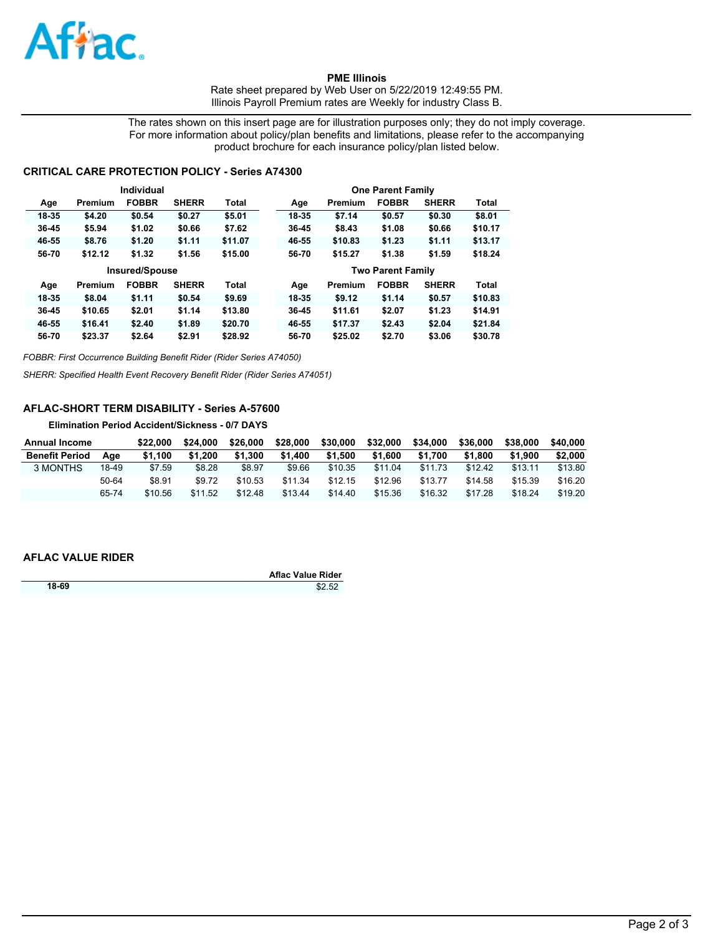

**PME Illinois**  Rate sheet prepared by Web User on 5/22/2019 12:49:55 PM. Illinois Payroll Premium rates are Weekly for industry Class B.

The rates shown on this insert page are for illustration purposes only; they do not imply coverage. For more information about policy/plan benefits and limitations, please refer to the accompanying product brochure for each insurance policy/plan listed below.

## **CRITICAL CARE PROTECTION POLICY - Series A74300**

| Individual |                       |              |              | <b>One Parent Family</b> |                          |       |         |              |              |              |
|------------|-----------------------|--------------|--------------|--------------------------|--------------------------|-------|---------|--------------|--------------|--------------|
| Age        | Premium               | <b>FOBBR</b> | <b>SHERR</b> | Total                    |                          | Age   | Premium | <b>FOBBR</b> | <b>SHERR</b> | <b>Total</b> |
| 18-35      | \$4.20                | \$0.54       | \$0.27       | \$5.01                   |                          | 18-35 | \$7.14  | \$0.57       | \$0.30       | \$8.01       |
| 36-45      | \$5.94                | \$1.02       | \$0.66       | \$7.62                   |                          | 36-45 | \$8.43  | \$1.08       | \$0.66       | \$10.17      |
| 46-55      | \$8.76                | \$1.20       | \$1.11       | \$11.07                  |                          | 46-55 | \$10.83 | \$1.23       | \$1.11       | \$13.17      |
| 56-70      | \$12.12               | \$1.32       | \$1.56       | \$15.00                  |                          | 56-70 | \$15.27 | \$1.38       | \$1.59       | \$18.24      |
|            | <b>Insured/Spouse</b> |              |              |                          | <b>Two Parent Family</b> |       |         |              |              |              |
|            |                       |              |              |                          |                          |       |         |              |              |              |
| Age        | Premium               | <b>FOBBR</b> | <b>SHERR</b> | <b>Total</b>             |                          | Age   | Premium | <b>FOBBR</b> | <b>SHERR</b> | <b>Total</b> |
| 18-35      | \$8.04                | \$1.11       | \$0.54       | \$9.69                   |                          | 18-35 | \$9.12  | \$1.14       | \$0.57       | \$10.83      |
| $36 - 45$  | \$10.65               | \$2.01       | \$1.14       | \$13.80                  |                          | 36-45 | \$11.61 | \$2.07       | \$1.23       | \$14.91      |
| 46-55      | \$16.41               | \$2.40       | \$1.89       | \$20.70                  |                          | 46-55 | \$17.37 | \$2.43       | \$2.04       | \$21.84      |

*FOBBR: First Occurrence Building Benefit Rider (Rider Series A74050)*

*SHERR: Specified Health Event Recovery Benefit Rider (Rider Series A74051)*

# **AFLAC-SHORT TERM DISABILITY - Series A-57600**

**Elimination Period Accident/Sickness - 0/7 DAYS**

| <b>Annual Income</b>  |       | \$22.000 | \$24.000 | \$26,000 | \$28,000 | \$30,000 | \$32,000 | \$34,000 | \$36,000 | \$38,000 | \$40.000 |
|-----------------------|-------|----------|----------|----------|----------|----------|----------|----------|----------|----------|----------|
| <b>Benefit Period</b> | Aae   | \$1.100  | \$1.200  | \$1.300  | \$1.400  | \$1.500  | \$1,600  | \$1.700  | \$1.800  | \$1.900  | \$2,000  |
| 3 MONTHS              | 18-49 | \$7.59   | \$8.28   | \$8.97   | \$9.66   | \$10.35  | \$11.04  | \$11.73  | \$12.42  | \$13.11  | \$13.80  |
|                       | 50-64 | \$8.91   | \$9.72   | \$10.53  | \$11.34  | \$12.15  | \$12.96  | \$13.77  | \$14.58  | \$15.39  | \$16.20  |
|                       | 65-74 | \$10.56  | \$11.52  | \$12.48  | \$13.44  | \$14.40  | \$15.36  | \$16.32  | \$17.28  | \$18.24  | \$19.20  |

### **AFLAC VALUE RIDER**

|       | <b>Aflac Value Rider</b> |
|-------|--------------------------|
| 18-69 | \$2.52                   |